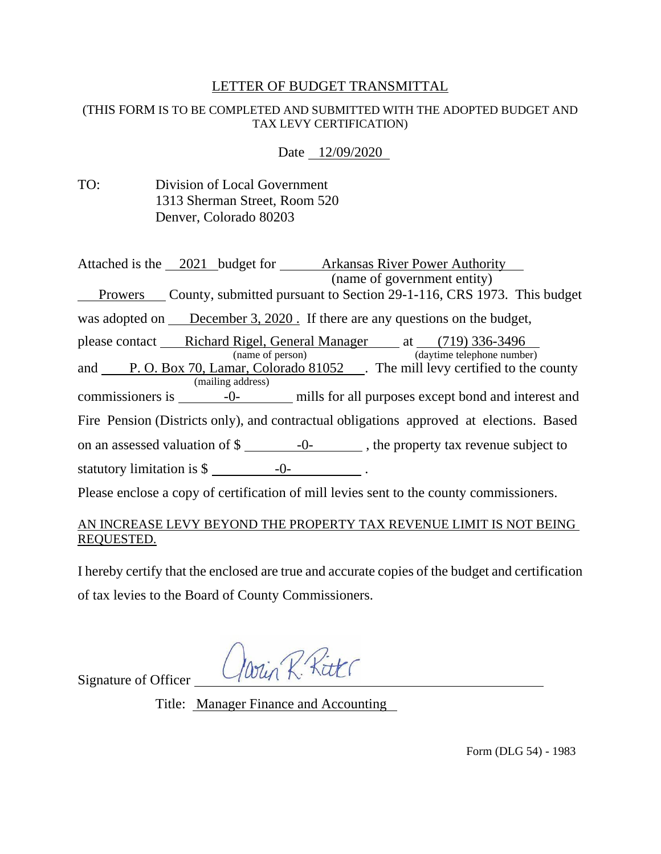# LETTER OF BUDGET TRANSMITTAL

#### (THIS FORM IS TO BE COMPLETED AND SUBMITTED WITH THE ADOPTED BUDGET AND TAX LEVY CERTIFICATION)

Date 12/09/2020

| TO: | Division of Local Government  |
|-----|-------------------------------|
|     | 1313 Sherman Street, Room 520 |
|     | Denver, Colorado 80203        |

| Attached is the 2021 budget for <b>Arkansas River Power Authority</b><br>(name of government entity)           |
|----------------------------------------------------------------------------------------------------------------|
| Prowers County, submitted pursuant to Section 29-1-116, CRS 1973. This budget<br>$\overline{\phantom{a}}$      |
| was adopted on December 3, 2020. If there are any questions on the budget,                                     |
| please contact Richard Rigel, General Manager at (719) 336-3496<br>(name of person) (daytime telephone number) |
| and P.O. Box 70, Lamar, Colorado 81052 . The mill levy certified to the county                                 |
| (mailing address)                                                                                              |
|                                                                                                                |
| Fire Pension (Districts only), and contractual obligations approved at elections. Based                        |
| on an assessed valuation of $\frac{1}{2}$ -0-<br>-0-<br>the property tax revenue subject to                    |
| statutory limitation is $\frac{2}{3}$ -0-                                                                      |
| Please enclose a copy of certification of mill levies sent to the county commissioners.                        |

### AN INCREASE LEVY BEYOND THE PROPERTY TAX REVENUE LIMIT IS NOT BEING REQUESTED.

I hereby certify that the enclosed are true and accurate copies of the budget and certification of tax levies to the Board of County Commissioners.

Win R. Ritt

Signature of Officer

Title: Manager Finance and Accounting

Form (DLG 54) - 1983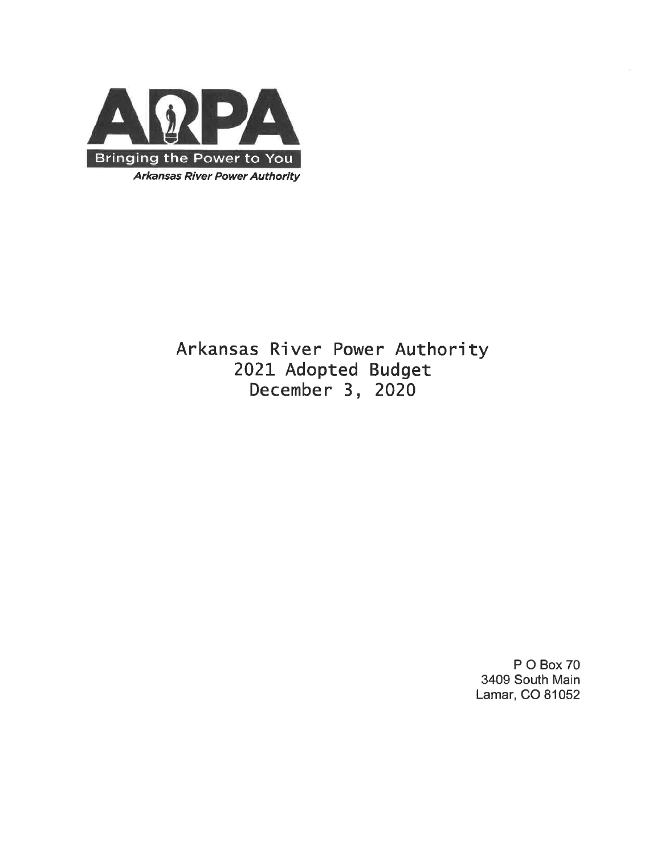

Arkansas River Power Authority 2021 Adopted Budget December 3, 2020

> P O Box 70 3409 South Main Lamar, CO 81052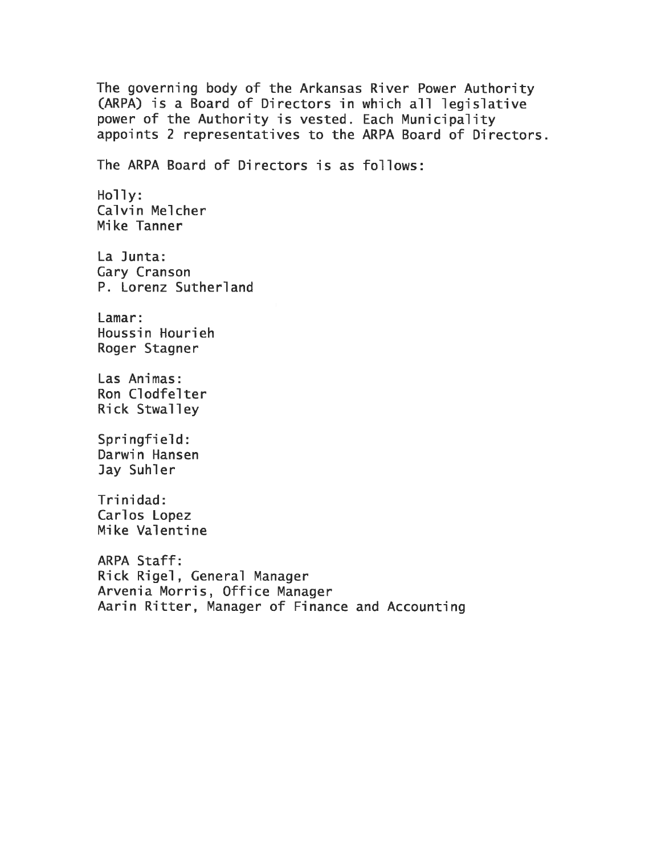The governing body of the Arkansas River Power Authority (ARPA) is a Board of Directors in which all legislative power of the Authority is vested. Each Municipality appoints 2 representatives to the ARPA Board of Directors. The ARPA Board of Directors is as follows: Holly: Calvin Melcher Mike Tanner La Junta: Gary Cranson P. Lorenz Sutherland Lamar: Houssin Hourieh Roger Stagner Las Animas: Ron Clodfelter Rick Stwalley Springfield: Darwin Hansen Jay Suhler Trinidad: Carlos Lopez Mike Valentine ARPA Staff: Rick Rigel, General Manager Arvenia Morris, Office Manager Aarin Ritter, Manager of Finance and Accounting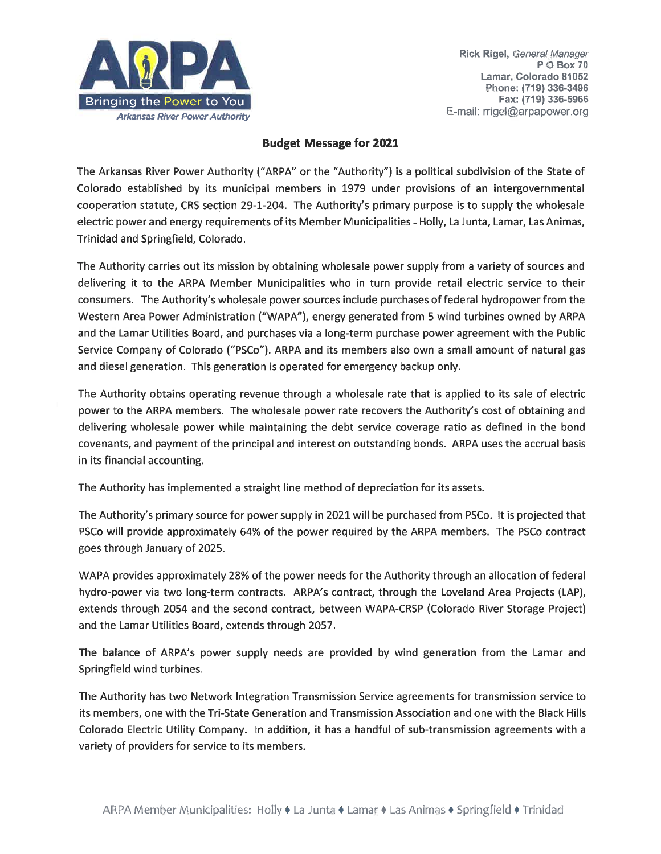

#### **Budget Message for 2021**

The Arkansas River Power Authority ("ARPA" or the "Authority") is a political subdivision of the State of Colorado established by its municipal members in 1979 under provisions of an intergovernmental cooperation statute, CRS section 29-1-204. The Authority's primary purpose is to supply the wholesale electric power and energy requirements of its Member Municipalities - Holly, La Junta, Lamar, Las Animas, Trinidad and Springfield, Colorado.

The Authority carries out its mission by obtaining wholesale power supply from a variety of sources and delivering it to the ARPA Member Municipalities who in turn provide retail electric service to their consumers. The Authority's wholesale power sources include purchases of federal hydropower from the Western Area Power Administration ("WAPA"), energy generated from 5 wind turbines owned by ARPA and the Lamar Utilities Board, and purchases via a long-term purchase power agreement with the Public Service Company of Colorado ("PSCo"). ARPA and its members also own a small amount of natural gas and diesel generation. This generation is operated for emergency backup only.

The Authority obtains operating revenue through a wholesale rate that is applied to its sale of electric power to the ARPA members. The wholesale power rate recovers the Authority's cost of obtaining and delivering wholesale power while maintaining the debt service coverage ratio as defined in the bond covenants, and payment of the principal and interest on outstanding bonds. ARPA uses the accrual basis in its financial accounting.

The Authority has implemented a straight line method of depreciation for its assets.

The Authority's primary source for power supply in 2021 will be purchased from PSCo. It is projected that PSCo will provide approximately 64% of the power required by the ARPA members. The PSCo contract goes through January of 2025.

WAPA provides approximately 28% of the power needs for the Authority through an allocation of federal hydro-power via two long-term contracts. ARPA's contract, through the Loveland Area Projects (LAP), extends through 2054 and the second contract, between WAPA-CRSP (Colorado River Storage Project) and the Lamar Utilities Board, extends through 2057.

The balance of ARPA's power supply needs are provided by wind generation from the Lamar and Springfield wind turbines.

The Authority has two Network Integration Transmission Service agreements for transmission service to its members, one with the Tri-State Generation and Transmission Association and one with the Black Hills Colorado Electric Utility Company. In addition, it has a handful of sub-transmission agreements with a variety of providers for service to its members.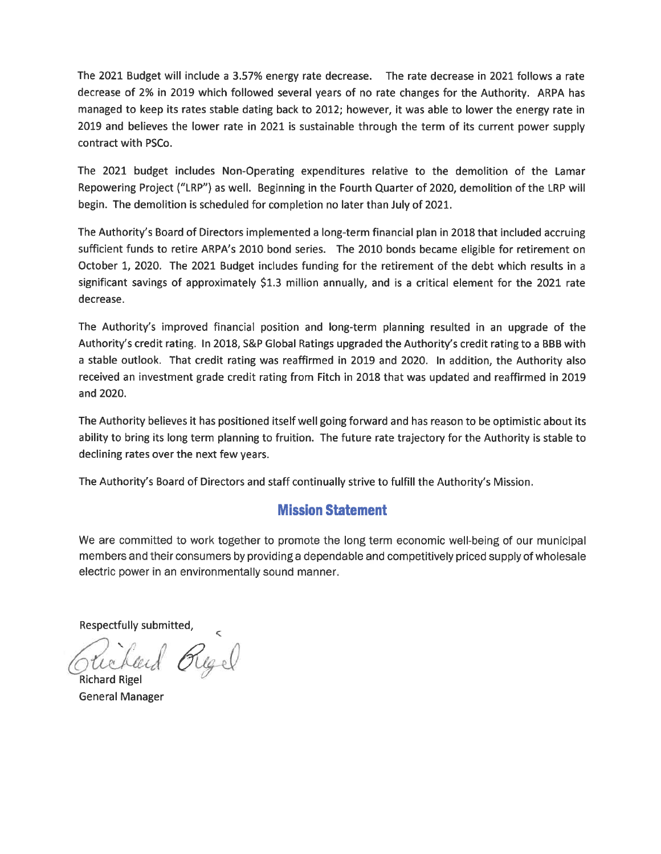The 2021 Budget will include a 3.57% energy rate decrease. The rate decrease in 2021 follows a rate decrease of 2% in 2019 which followed several years of no rate changes for the Authority. ARPA has managed to keep its rates stable dating back to 2012; however, it was able to lower the energy rate in 2019 and believes the lower rate in 2021 is sustainable through the term of its current power supply contract with PSCo.

The 2021 budget includes Non-Operating expenditures relative to the demolition of the Lamar Repowering Project ("LRP") as well. Beginning in the Fourth Quarter of 2020, demolition of the LRP will begin. The demolition is scheduled for completion no later than July of 2021.

The Authority's Board of Directors implemented a long-term financial plan in 2018 that included accruing sufficient funds to retire ARPA's 2010 bond series. The 2010 bonds became eligible for retirement on October 1, 2020. The 2021 Budget includes funding for the retirement of the debt which results in a significant savings of approximately \$1.3 million annually, and is a critical element for the 2021 rate decrease.

The Authority's improved financial position and long-term planning resulted in an upgrade of the Authority's credit rating. In 2018, S&P Global Ratings upgraded the Authority's credit rating to a BBB with a stable outlook. That credit rating was reaffirmed in 2019 and 2020. In addition, the Authority also received an investment grade credit rating from Fitch in 2018 that was updated and reaffirmed in 2019 and 2020.

The Authority believes it has positioned itself well going forward and has reason to be optimistic about its ability to bring its long term planning to fruition. The future rate trajectory for the Authority is stable to declining rates over the next few years.

The Authority's Board of Directors and staff continually strive to fulfill the Authority's Mission.

# **Mission Statement**

We are committed to work together to promote the long term economic well-being of our municipal members and their consumers by providing a dependable and competitively priced supply of wholesale electric power in an environmentally sound manner.

Respectfully submitted,

Regel

**Richard Rigel General Manager**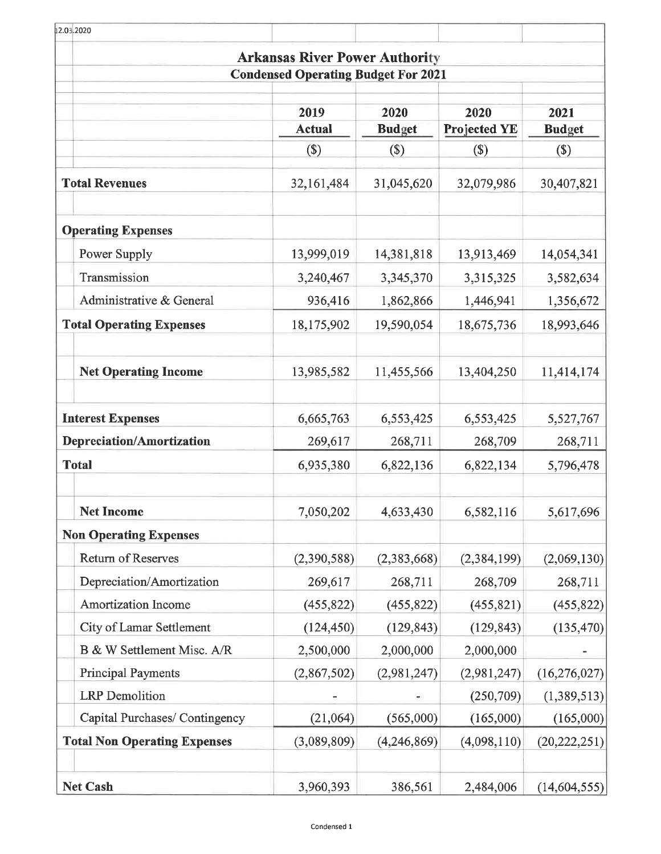| 12.03.2020                          |                                            |               |                     |                |
|-------------------------------------|--------------------------------------------|---------------|---------------------|----------------|
|                                     | <b>Arkansas River Power Authority</b>      |               |                     |                |
|                                     | <b>Condensed Operating Budget For 2021</b> |               |                     |                |
|                                     | 2019                                       | 2020          | 2020                | 2021           |
|                                     | <b>Actual</b>                              | <b>Budget</b> | <b>Projected YE</b> | <b>Budget</b>  |
|                                     | $(\$)$                                     | $(\$)$        | $(\$\)$             | $(\$)$         |
| <b>Total Revenues</b>               | 32,161,484                                 | 31,045,620    | 32,079,986          | 30,407,821     |
| <b>Operating Expenses</b>           |                                            |               |                     |                |
| Power Supply                        | 13,999,019                                 | 14,381,818    | 13,913,469          | 14,054,341     |
| Transmission                        | 3,240,467                                  | 3,345,370     | 3,315,325           | 3,582,634      |
| Administrative & General            | 936,416                                    | 1,862,866     | 1,446,941           | 1,356,672      |
| <b>Total Operating Expenses</b>     | 18,175,902                                 | 19,590,054    | 18,675,736          | 18,993,646     |
| <b>Net Operating Income</b>         | 13,985,582                                 | 11,455,566    | 13,404,250          | 11,414,174     |
| <b>Interest Expenses</b>            | 6,665,763                                  | 6,553,425     | 6,553,425           | 5,527,767      |
| <b>Depreciation/Amortization</b>    | 269,617                                    | 268,711       | 268,709             | 268,711        |
| <b>Total</b>                        | 6,935,380                                  | 6,822,136     | 6,822,134           | 5,796,478      |
| <b>Net Income</b>                   | 7,050,202                                  | 4,633,430     | 6,582,116           | 5,617,696      |
| <b>Non Operating Expenses</b>       |                                            |               |                     |                |
| Return of Reserves                  | (2,390,588)                                | (2,383,668)   | (2, 384, 199)       | (2,069,130)    |
| Depreciation/Amortization           | 269,617                                    | 268,711       | 268,709             | 268,711        |
| Amortization Income                 | (455, 822)                                 | (455, 822)    | (455, 821)          | (455, 822)     |
| City of Lamar Settlement            | (124, 450)                                 | (129, 843)    | (129, 843)          | (135, 470)     |
| B & W Settlement Misc. A/R          | 2,500,000                                  | 2,000,000     | 2,000,000           |                |
| <b>Principal Payments</b>           | (2,867,502)                                | (2,981,247)   | (2,981,247)         | (16, 276, 027) |
| <b>LRP</b> Demolition               |                                            |               | (250, 709)          | (1,389,513)    |
| Capital Purchases/ Contingency      | (21,064)                                   | (565,000)     | (165,000)           | (165,000)      |
| <b>Total Non Operating Expenses</b> | (3,089,809)                                | (4,246,869)   | (4,098,110)         | (20, 222, 251) |
| <b>Net Cash</b>                     | 3,960,393                                  | 386,561       | 2,484,006           | (14, 604, 555) |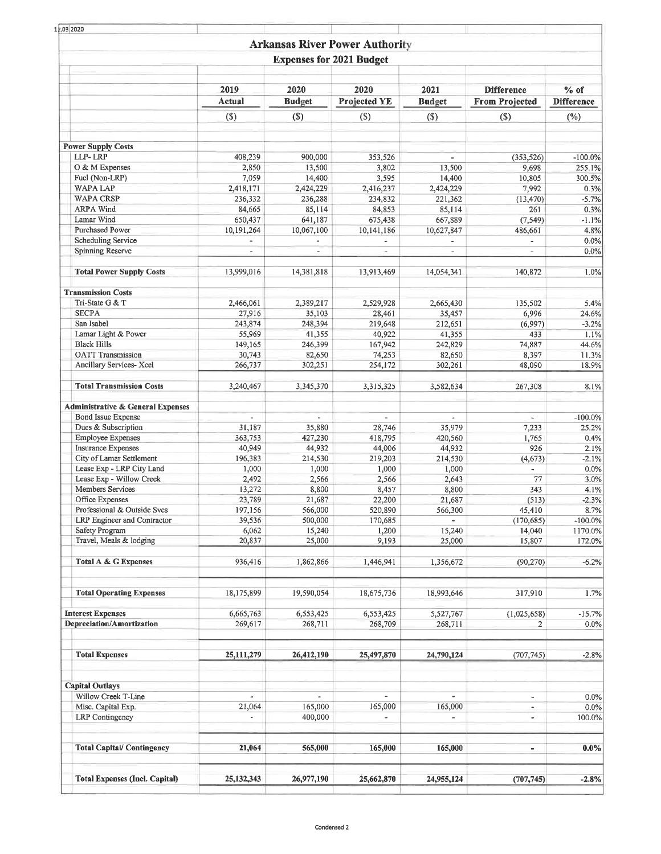| 1.03 2020                                                                 |                                                      |                                 |                                       |                          |                                                                                                                                                                                                                                                                                                                                                                                                                   |                     |
|---------------------------------------------------------------------------|------------------------------------------------------|---------------------------------|---------------------------------------|--------------------------|-------------------------------------------------------------------------------------------------------------------------------------------------------------------------------------------------------------------------------------------------------------------------------------------------------------------------------------------------------------------------------------------------------------------|---------------------|
|                                                                           |                                                      |                                 | <b>Arkansas River Power Authority</b> |                          |                                                                                                                                                                                                                                                                                                                                                                                                                   |                     |
|                                                                           |                                                      | <b>Expenses for 2021 Budget</b> |                                       |                          |                                                                                                                                                                                                                                                                                                                                                                                                                   |                     |
|                                                                           |                                                      |                                 |                                       |                          |                                                                                                                                                                                                                                                                                                                                                                                                                   |                     |
|                                                                           | 2019                                                 | 2020                            | 2020                                  | 2021                     | <b>Difference</b>                                                                                                                                                                                                                                                                                                                                                                                                 | $%$ of              |
|                                                                           | Actual                                               | <b>Budget</b>                   | <b>Projected YE</b>                   | <b>Budget</b>            | <b>From Projected</b>                                                                                                                                                                                                                                                                                                                                                                                             | <b>Difference</b>   |
|                                                                           | $($)$                                                | $($)$                           | (S)                                   | $($)$                    | $($)$                                                                                                                                                                                                                                                                                                                                                                                                             | $(\%)$              |
|                                                                           |                                                      |                                 |                                       |                          |                                                                                                                                                                                                                                                                                                                                                                                                                   |                     |
| <b>Power Supply Costs</b>                                                 |                                                      |                                 |                                       |                          |                                                                                                                                                                                                                                                                                                                                                                                                                   |                     |
| LLP-LRP<br>O & M Expenses                                                 | 408,239<br>2,850                                     | 900,000<br>13,500               | 353,526<br>3,802                      | ÷<br>13,500              |                                                                                                                                                                                                                                                                                                                                                                                                                   | $-100.0%$<br>255.1% |
| Fuel (Non-LRP)                                                            | 7,059                                                | 14,400                          | 3,595                                 | 14,400                   |                                                                                                                                                                                                                                                                                                                                                                                                                   | 300.5%              |
| <b>WAPA LAP</b>                                                           | 2,418,171                                            | 2,424,229                       | 2,416,237                             | 2,424,229                |                                                                                                                                                                                                                                                                                                                                                                                                                   | 0.3%                |
| <b>WAPA CRSP</b>                                                          | 236,332                                              | 236,288                         | 234,832                               | 221,362                  | (13, 470)                                                                                                                                                                                                                                                                                                                                                                                                         | $-5.7%$             |
| <b>ARPA Wind</b>                                                          | 84,665                                               | 85,114                          | 84,853                                | 85,114                   | 261                                                                                                                                                                                                                                                                                                                                                                                                               | 0.3%                |
| Lamar Wind                                                                | 650,437                                              | 641,187                         | 675,438                               | 667,889                  | (353, 526)<br>9,698<br>10,805<br>7,992<br>(7, 549)<br>486,661<br>$\overline{\phantom{a}}$<br>140,872<br>135,502<br>6,996<br>(6,997)<br>433<br>74,887<br>8,397<br>48,090<br>267,308<br>$\sim$<br>7,233<br>1,765<br>926<br>$\overline{\phantom{a}}$<br>77<br>343<br>(513)<br>14,040<br>15,807<br>317,910<br>(1,025,658)<br>$\blacksquare$<br>$\blacksquare$<br>$\overline{\phantom{a}}$<br>$\overline{\phantom{a}}$ | $-1.1%$             |
| Purchased Power<br><b>Scheduling Service</b>                              | 10,191,264                                           | 10,067,100                      | 10,141,186                            | 10,627,847               |                                                                                                                                                                                                                                                                                                                                                                                                                   | 4.8%<br>0.0%        |
| Spinning Reserve                                                          | $\overline{\phantom{a}}$<br>$\overline{\phantom{a}}$ | $\overline{\phantom{a}}$        | $\overline{\phantom{a}}$              | $\overline{\phantom{a}}$ |                                                                                                                                                                                                                                                                                                                                                                                                                   | 0.0%                |
|                                                                           |                                                      |                                 |                                       |                          |                                                                                                                                                                                                                                                                                                                                                                                                                   |                     |
| <b>Total Power Supply Costs</b>                                           | 13,999,016                                           | 14,381,818                      | 13,913,469                            | 14,054,341               |                                                                                                                                                                                                                                                                                                                                                                                                                   | 1.0%                |
| <b>Transmission Costs</b>                                                 |                                                      |                                 |                                       |                          |                                                                                                                                                                                                                                                                                                                                                                                                                   |                     |
| Tri-State G & T                                                           | 2,466,061                                            | 2,389,217                       | 2,529,928                             | 2,665,430                |                                                                                                                                                                                                                                                                                                                                                                                                                   | 5.4%                |
| <b>SECPA</b>                                                              | 27,916                                               | 35,103                          | 28,461                                | 35,457                   |                                                                                                                                                                                                                                                                                                                                                                                                                   | 24.6%               |
| San Isabel<br>Lamar Light & Power                                         | 243,874<br>55,969                                    | 248,394<br>41,355               | 219,648<br>40,922                     | 212,651<br>41,355        |                                                                                                                                                                                                                                                                                                                                                                                                                   | $-3.2%$<br>1.1%     |
| <b>Black Hills</b>                                                        | 149,165                                              | 246,399                         | 167,942                               | 242,829                  |                                                                                                                                                                                                                                                                                                                                                                                                                   | 44.6%               |
| <b>OATT</b> Transmission                                                  | 30,743                                               | 82,650                          | 74,253                                | 82,650                   |                                                                                                                                                                                                                                                                                                                                                                                                                   | 11.3%               |
| Ancillary Services- Xcel                                                  | 266,737                                              | 302,251                         | 254,172                               | 302,261                  |                                                                                                                                                                                                                                                                                                                                                                                                                   | 18.9%               |
| <b>Total Transmission Costs</b>                                           | 3,240,467                                            | 3,345,370                       | 3,315,325                             | 3,582,634                |                                                                                                                                                                                                                                                                                                                                                                                                                   | 8.1%                |
|                                                                           |                                                      |                                 |                                       |                          |                                                                                                                                                                                                                                                                                                                                                                                                                   |                     |
| <b>Administrative &amp; General Expenses</b><br><b>Bond Issue Expense</b> | $\overline{\phantom{a}}$                             | $\blacksquare$                  | $\overline{\phantom{a}}$              | $\omega$                 |                                                                                                                                                                                                                                                                                                                                                                                                                   | $-100.0\%$          |
| Dues & Subscription                                                       | 31,187                                               | 35,880                          | 28,746                                | 35,979                   |                                                                                                                                                                                                                                                                                                                                                                                                                   | 25.2%               |
| <b>Employee Expenses</b>                                                  | 363,753                                              | 427,230                         | 418,795                               | 420,560                  |                                                                                                                                                                                                                                                                                                                                                                                                                   | 0.4%                |
| <b>Insurance Expenses</b>                                                 | 40,949                                               | 44,932                          | 44,006                                | 44,932                   |                                                                                                                                                                                                                                                                                                                                                                                                                   | 2.1%                |
| City of Lamar Settlement                                                  | 196,383                                              | 214,530                         | 219,203                               | 214,530                  | (4, 673)                                                                                                                                                                                                                                                                                                                                                                                                          | $-2.1%$             |
| Lease Exp - LRP City Land                                                 | 1,000                                                | 1,000                           | 1,000                                 | 1,000                    |                                                                                                                                                                                                                                                                                                                                                                                                                   | 0.0%                |
| Lease Exp - Willow Creek<br>Members Services                              | 2,492<br>13,272                                      | 2,566<br>8,800                  | 2,566<br>8,457                        | 2,643<br>8,800           |                                                                                                                                                                                                                                                                                                                                                                                                                   | 3.0%<br>4.1%        |
| Office Expenses                                                           | 23,789                                               | 21,687                          | 22,200                                | 21,687                   |                                                                                                                                                                                                                                                                                                                                                                                                                   | $-2.3%$             |
| Professional & Outside Svcs                                               | 197,156                                              | 566,000                         | 520,890                               | 566,300                  | 45,410                                                                                                                                                                                                                                                                                                                                                                                                            | 8.7%                |
| LRP Engineer and Contractor                                               | 39,536                                               | 500,000                         | 170,685                               | $\tilde{\phantom{a}}$    | (170, 685)                                                                                                                                                                                                                                                                                                                                                                                                        | $-100.0%$           |
| <b>Safety Program</b>                                                     | 6,062                                                | 15,240                          | 1,200                                 | 15,240                   |                                                                                                                                                                                                                                                                                                                                                                                                                   | 1170.0%             |
| Travel, Meals & lodging                                                   | 20,837                                               | 25,000                          | 9,193                                 | 25,000                   |                                                                                                                                                                                                                                                                                                                                                                                                                   | 172.0%              |
| <b>Total A &amp; G Expenses</b>                                           | 936,416                                              | 1,862,866                       | 1,446,941                             | 1,356,672                | (90, 270)                                                                                                                                                                                                                                                                                                                                                                                                         | $-6.2%$             |
| <b>Total Operating Expenses</b>                                           | 18,175,899                                           | 19,590,054                      | 18,675,736                            | 18,993,646               |                                                                                                                                                                                                                                                                                                                                                                                                                   | 1.7%                |
| <b>Interest Expenses</b>                                                  | 6,665,763                                            | 6,553,425                       | 6,553,425                             | 5,527,767                |                                                                                                                                                                                                                                                                                                                                                                                                                   | $-15.7%$            |
| <b>Depreciation/Amortization</b>                                          | 269,617                                              | 268,711                         | 268,709                               | 268,711                  | $\overline{2}$                                                                                                                                                                                                                                                                                                                                                                                                    | 0.0%                |
| <b>Total Expenses</b>                                                     | 25,111,279                                           | 26,412,190                      | 25,497,870                            | 24,790,124               | (707, 745)                                                                                                                                                                                                                                                                                                                                                                                                        | $-2.8%$             |
|                                                                           |                                                      |                                 |                                       |                          |                                                                                                                                                                                                                                                                                                                                                                                                                   |                     |
| <b>Capital Outlays</b><br>Willow Creek T-Line                             | $\blacksquare$                                       | $\tilde{\phantom{a}}$           |                                       |                          |                                                                                                                                                                                                                                                                                                                                                                                                                   | 0.0%                |
| Misc. Capital Exp.                                                        | 21,064                                               | 165,000                         | 165,000                               | 165,000                  |                                                                                                                                                                                                                                                                                                                                                                                                                   | 0.0%                |
| <b>LRP</b> Contingency                                                    | ۰                                                    | 400,000                         | $\overline{\phantom{a}}$              | ÷                        |                                                                                                                                                                                                                                                                                                                                                                                                                   | 100.0%              |
| <b>Total Capital/Contingency</b>                                          | 21,064                                               | 565,000                         | 165,000                               | 165,000                  |                                                                                                                                                                                                                                                                                                                                                                                                                   | $0.0\%$             |
| <b>Total Expenses (Incl. Capital)</b>                                     | 25, 132, 343                                         | 26,977,190                      | 25,662,870                            | 24,955,124               | (707, 745)                                                                                                                                                                                                                                                                                                                                                                                                        | $-2.8%$             |
|                                                                           |                                                      |                                 |                                       |                          |                                                                                                                                                                                                                                                                                                                                                                                                                   |                     |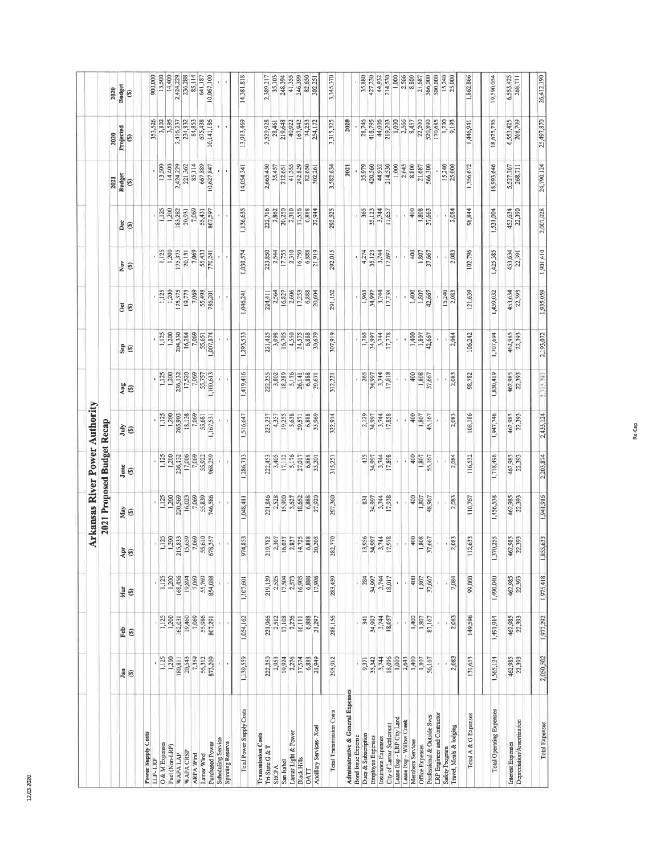|                                                       |                      |                      |                      |                  |                            |                  | Arkansas River Power Authority |                               |                   |                |                   |                   |                       |                      |                       |
|-------------------------------------------------------|----------------------|----------------------|----------------------|------------------|----------------------------|------------------|--------------------------------|-------------------------------|-------------------|----------------|-------------------|-------------------|-----------------------|----------------------|-----------------------|
|                                                       |                      |                      |                      |                  | 2021 Proposed Budget Recap |                  |                                |                               |                   |                |                   |                   |                       |                      |                       |
|                                                       |                      |                      |                      |                  |                            |                  |                                |                               |                   | $\overline{c}$ | Nov               | Dec               | <b>Budget</b><br>2021 | Projected<br>2020    | <b>Budget</b><br>2020 |
|                                                       | Jan<br>$\circledast$ | Feb<br>$\circledast$ | Mar<br>$\circledast$ | $\frac{5}{2}$    | May<br>$\circledast$       | June<br>⊛        | July<br>⊛                      | $\frac{\text{G}}{\text{Gny}}$ | $\frac{6}{36}$    | ⊛              | $\circledast$     | $\circledast$     | ⊛                     | $\circ$              | €                     |
| <b>Power Supply Costs</b>                             |                      |                      |                      |                  |                            |                  |                                |                               |                   |                |                   |                   |                       |                      |                       |
| LLP-LRP                                               | $\mathbf{r}$         |                      |                      | $\bar{r}$        |                            |                  | ×,                             | ٠                             | r.                |                |                   |                   | 13,500                | 353,526              | 900,000<br>13,500     |
| O & M Expenses                                        | 1,125                | 1,125                | 1,125                | 1,125            | 1,125                      | 1,125            | 1,125<br>1,200                 | 1,200<br>1,125                | 1,200<br>1,125    | 1,200<br>1,125 | 1,125<br>1,200    | 1,200<br>1,125    | 14,400                | 3,802<br>3,595       | 14,400                |
| Fuel (Non-LRP)<br>WAPALAP                             | 1,200<br>180,811     | 1,200<br>162,031     | 1,200<br>168,456     | 215,833<br>1,200 | 1,200<br>220,569           | 1,200<br>236,132 | 265,903                        | 236,132                       | 204,330           | 175,375        | 175,375           | 183,282           | 2,424,229             | 2,416,237            | 2,424,229             |
| WAPA CRSP                                             | 20,543               | 19,460               | 19,894               | 15,659           | 16,023                     | 17,006           | 18,138                         | 17,520                        | 16,284            | 19,773         | 20,131            | 20,931            | 221,362               | 234,832              | 236,288               |
| <b>ARPA Wind</b>                                      | 7,359                | 7,069                | 7,069                | 7,069            | 7,069                      | 7,069            | 7,069                          | 7,069                         | 7,069             | 7,069          | 7,069             | 7,069             | 85,114                | 84,853               | 85,114                |
| Lamar Wind                                            | 55,312               | 55,986               | 55,769               | 55,610           | 55,839                     | 55,922           | 55,681                         | 55,757                        | 55,651            | 55,498         | 55,433            | 55,431            | 667,889               | 675,438              | 641,187               |
| Purchased Power                                       | 873,209              | 807,291              | 854,088              | 578,357          | 746,586                    | 968,259          | 1,167,531                      | 1,100,613                     | 1,007,874         | 786,201        | 770,241           | 867,597           | 10,627,847            | 10,141,186           | 10,067,100            |
| Scheduling Service                                    |                      |                      |                      |                  |                            |                  |                                |                               |                   |                |                   |                   |                       |                      |                       |
| Spinning Reserve                                      |                      |                      |                      |                  |                            |                  |                                |                               |                   |                |                   |                   |                       |                      |                       |
|                                                       |                      |                      |                      |                  |                            |                  |                                |                               |                   |                |                   |                   |                       |                      |                       |
| Total Power Supply Costs                              | 1,139,559            | 1,054,162            | 1,107,601            | 974,853          | 1,048,411                  | 1,286,713        | 1,516,647                      | 1,419,416                     | 1,293,533         | 1,046,241      | 1,030,574         | 1,136,635         | 14,054,341            | 13,913,469           | 14,381,818            |
| <b>Transmission Costs</b>                             |                      |                      |                      |                  |                            |                  |                                |                               |                   |                |                   |                   |                       |                      |                       |
| Tri-State G & T                                       | 222,350              | 221,966              | 219,139              | 219,782          | 221,846                    | 222,453          | 223,237                        | 222,255                       | 221,425           | 224,411        | 223,850           | 222,716           | 2,665,430             | 2,529,928            | 2,389,217             |
| <b>SECPA</b>                                          | 2,953                | 2,512                | 2,525                | 2,307            | 2,528                      | 3,405            | 4,357                          | 3,802                         | 3,098             | 2,564          | 2,544<br>17,755   | 2,862             | 35,457                | 28,461               | 35,103                |
| San Isabel                                            | 19,924               | 17,108               | 17,504               | 16,027           | 15,900                     | 17,112           | 19,255                         | 18,289                        | 16,705            | 16,827         |                   | 20,250            | 212,651               | 219,648              | 248,394               |
| Lamar Light & Power                                   | 2,276                | 2,276                | 2,573                | 2,837            | 3,627                      | 5,176            | 5,638                          | 5,176                         | 4,550             | 2,606          | 2,310             | 2,310             | 41,355                | 40,922               | 41,355                |
| <b>Black Hills</b>                                    | 17,574               | 16,111               | 16,905               | 14,725           | 18,652                     | 27,017           | 29,571                         | 26,141                        | 24,575            | 17,253         | 16,750            | 17,556            | 242,829               | 167,942              | 246,399               |
| <b>DATT</b>                                           | 6,888                | 6,888                | 6,888                | 6,888            | 6,888                      | 6,888            | 6,888                          | 6,888                         | 6,888             | 6,888          | 6,888<br>21,919   | 6,888<br>22,944   | 82,650<br>302,261     | 74,253<br>254,172    | 82,650<br>302,251     |
| Ancillary Services-Xcel                               | 21,949               | 21,297               | 17,906               | 20,205           | 27,920                     | 33,201           | 33,969                         | 29,671                        | 30,679            | 20,604         |                   |                   |                       |                      |                       |
| Total Transmission Costs                              | 293,912              | 288,156              | 283,439              | 282,770          | 297,360                    | 315,251          | 322,914                        | 312,221                       | 307,919           | 291,152        | 292,015           | 295,525           | 3,582,634             | 3,315,325            | 3,345,370             |
| Administrative & General Expenses                     |                      |                      |                      |                  |                            |                  |                                |                               |                   |                |                   |                   | 2021                  | 2020                 |                       |
| <b>Bond</b> Issue Expense                             |                      |                      |                      |                  |                            |                  |                                |                               |                   |                |                   |                   |                       |                      |                       |
| Dues & Subscription                                   | 9,371                | 341                  | 284                  | 13,956           | 831                        | 435              | 2,129                          | 265                           | 1,765             | 1,963          | 4,274             | 365               | 35,979                | 28,746               | 35,880                |
| Employee Expenses                                     | 35,342               | 34,997               | 34,997               | 34,997           | 34,997                     | 34,997           | 34,997                         | 34,997                        | 34,997            | 34,997         | 35,123            | 35,123            | 420,560               | 418,795              | 427,230               |
| Insurance Expenses                                    | 3,744                | 3,744                | 3,744                | 3,744            | 3,744                      | 3,744            | 3,744                          | 3,744                         | 3,744             | 3,744          | 3,744             | 3,744<br>17,657   | 214,530<br>44,932     | 44,006<br>219,203    | 44,932<br>214,530     |
| Lease Exp - LRP City Land<br>City of Lamar Settlement | 18,096<br>1,000      | 18,057               | 18,017               | 17,978           | 17,938                     | 17,898           | 17,858                         | 17,818                        | 17,778            | 17,738         | 17,697            |                   | 1,000                 | 1,000                | 1,000                 |
| Lease Exp - Willow Creek                              | 2,643                |                      | ı                    |                  | ×.<br>×                    | r.               | ٠                              |                               |                   |                | $\mathbf{I}$<br>٠ | $\mathbf{r}$      | 2,643                 | 2,566                | 2,566                 |
| Members Services                                      | 1,400                | 1,400                | 400                  | 400              | 400                        | 400              | 400                            | 400                           | 1,400             | 1,400          | 400               | 400               | 8,800                 | 8,457                | 8,800                 |
| Office Expenses                                       | 1,807                | 1,807                | 1,807                | 1,808            | 1,807                      | 1,807            | 1,807                          | 1,808                         | 1,807             | 1,807          | 1,807             | 1,808             | 21,687                | 22,200               | 21,687                |
| Professional & Outside Svcs                           | 56,167               | 87,167               | 37,667               | 37,667           | 48,967                     | 55,167           | 45,167                         | 37,667                        | 42,667            | 42,667         | 37,667            | 37,663            | 566,300               | 520,890              | 566,000               |
| LRP Engineer and Contractor                           |                      |                      |                      |                  |                            | $\blacksquare$   |                                |                               |                   |                |                   |                   |                       | 170,685              | 500,000               |
| Safety Program                                        | f                    |                      |                      |                  |                            |                  |                                |                               |                   | 15,240         |                   |                   | 15,240                | 1,200                | 15,240                |
| Travel, Meals & lodging                               | 2,083                | 2,083                | 2,084                | 2,083            | 2,083                      | 2,084            | 2,083                          | 2,083                         | 2,084             | 2,083          | 2,083             | 2,084             | 25,000                | 9,193                | 25,000                |
| Total A & G Expenses                                  | 131,653              | 149,596              | 99,000               | 112,633          | 110,767                    | 116,532          | 108,186                        | 98,782                        | 106,242           | 121,639        | 102,796           | 98,844            | 1,356,672             | 1,446,941            | 1,862,866             |
| Total Operating Expenses                              | 1,565,124            | 1,491,914            | 1,490,040            | 370,255<br>H,    | 1,456,538                  | 1,718,496        | 1,947,746                      | 1,830,419                     | 1,707,694         | 1,459,032      | 1,425,385         | 1,531,004         | 18,993,646            | 18,675,736           | 19,590,054            |
| Interest Expenses                                     | 462,985              | 462,985              |                      | 462,985          |                            | 462,985          | 462,985                        |                               |                   | 453,634        |                   |                   | 5,527.767<br>268,711  | 6,553,425<br>268,709 | 6,553,425<br>268,711  |
| Depreciation/Amortization                             | 22,393               | 22,393               | 462,985<br>22,393    | 22,393           | 462,985<br>22,393          | 22,393           | 22,393                         | 462,985<br>22,393             | 462,985<br>22,393 | 22,393         | 453,634<br>22,391 | 453,634<br>22,390 |                       |                      |                       |
|                                                       |                      |                      |                      |                  |                            |                  |                                |                               |                   |                |                   |                   |                       |                      |                       |
| <b>Total Expenses</b>                                 | 2,050,502            | 1,977,292            | 1975418              | 1,855,633        | 1,941,916                  | 2,203,874        | 2,433,124                      | 2,315,797                     | 2,193,072         | 1,935.059      | 1,901,410         | 2,007,028         | 24,790,124            | 25,497,870           | 26,412,190            |

12.03.2020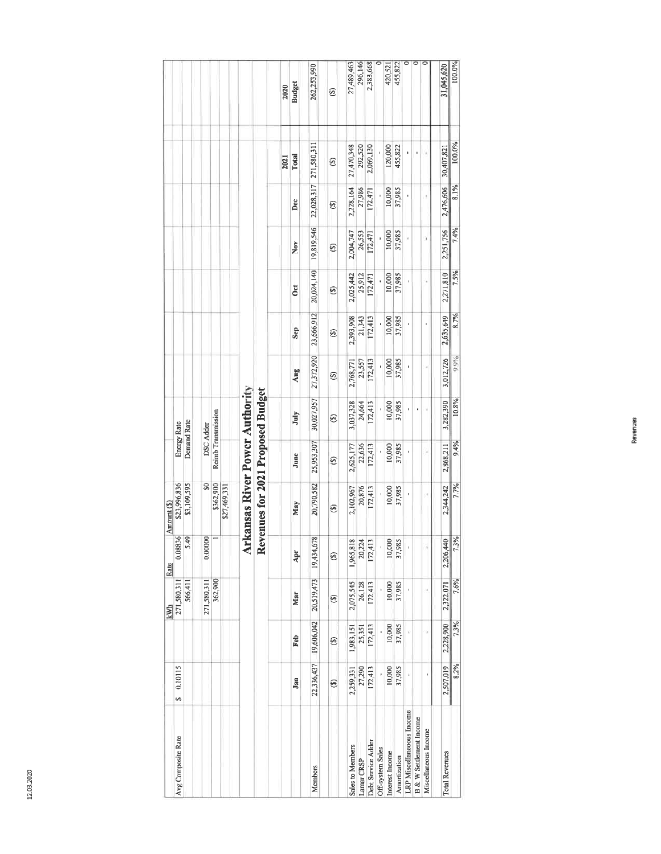|             |                    |             |                  |                    |              |                               |                                   | 2020 | <b>Budget</b> | 262,253,990 | ම             | 27,489,463       | 296,146    | 2,383,668          |                  | 420,521         | 455,822      | $\overline{\circ}$        | $\overline{\circ}$                 | $\overline{\circ}$   | 31,045,620            | 100.0% |
|-------------|--------------------|-------------|------------------|--------------------|--------------|-------------------------------|-----------------------------------|------|---------------|-------------|---------------|------------------|------------|--------------------|------------------|-----------------|--------------|---------------------------|------------------------------------|----------------------|-----------------------|--------|
|             |                    |             |                  |                    |              |                               |                                   | 2021 | Total         | 271,580,311 | ⊛             | 27,470,348       | 292,520    | 2,069,130          |                  | 120,000         | 455,822      | ı                         | i,                                 |                      | 30,407,821            | 100.0% |
|             |                    |             |                  |                    |              |                               |                                   |      | Dec           | 22,028,317  | $\circledast$ | 2,228,164        | 27,986     | 172,471            |                  | 10,000          | 37,985       |                           |                                    |                      | 2,476,606             | 8.1%   |
|             |                    |             |                  |                    |              |                               |                                   |      | Nov           | 19,819,546  | ම             | 2,004,747        | 26,553     | 172,471            |                  | 10,000          | 37,985       |                           |                                    | U,                   | 2,251,756             | 7.4%   |
|             |                    |             |                  |                    |              |                               |                                   |      | <b>SC</b>     | 20,024,140  | $\circledast$ | 2,025,442        | 25,912     | 172,471            |                  | 10,000          | 37,985       |                           |                                    |                      | 2,271,810             | 7.5%   |
|             |                    |             |                  |                    |              |                               |                                   |      | Sep           | 23,666,912  | ⊛             | 2,393,908        | 21,343     | 172,413            |                  | 10,000          | 37,985       |                           |                                    |                      | 2,635,649             | 8.7%   |
|             |                    |             |                  |                    |              |                               |                                   |      | Aug           | 27,372,920  | ⊛             | 2,768,771        | 23,557     | 172,413            |                  | 10,000          | 37,985       | ł                         |                                    |                      | 3,012,726             | 0.0%   |
|             |                    |             |                  |                    |              |                               |                                   |      | July          | 30,027,957  | ⊛             | 3,037,328        | 24,664     | 172,413            |                  | 10,000          | 37,985       |                           |                                    |                      | 3,282,390             | 10.8%  |
|             | Energy Rate        | Demand Rate | <b>DSC</b> Adder | Reimb Transmission |              |                               |                                   |      | June          | 25,953,307  | $\circledast$ | 2,625,177        | 22,636     | 172,413            |                  | 10,000          | 37,985       |                           |                                    |                      | 2,868,211             | 9.4%   |
| Amount (\$) | \$23,996,836       | \$3,109,595 | S                | \$362,900          | \$27,469,331 | rkansas River Power Authority | Revenues for 2021 Proposed Budget |      | May           | 20,790,582  | ⊛             | 2,102,967        | 20,876     | 172,413            |                  | 10,000          | 37,985       | ı                         |                                    |                      | 2,344,242             | 7.7%   |
| Rate        | 0.08836            | 5.49        | 0.00000          |                    |              | ⋜                             |                                   |      | Apr           | 19,434,678  | ⊕             | 1,965,818        | 20,224     | 172,413            |                  | 10,000          | 37,985       |                           |                                    |                      | 2,206,440             | 7.3%   |
| kWh         | 271,580,311        | 566,411     | 271,580,311      | 362,900            |              |                               |                                   |      | Mar           | 20,519,473  | ⊕             | 2,075,545        | 26,128     | 172,413            |                  | 10,000          | 37,985       |                           |                                    |                      | 2,322,071             | 7.6%   |
|             |                    |             |                  |                    |              |                               |                                   |      | Feb           | 19,606,042  | ම             | 1,983,151        | 25,351     | 172,413            |                  | 10,000          | 37,985       |                           |                                    |                      | 2,228,900             | 7.3%   |
|             | 0.10115<br>s,      |             |                  |                    |              |                               |                                   |      | Jan           | 22,336,437  | ⊕             | 2,259,331        | 27,290     | 172,413            |                  | 10,000          | 37,985       |                           |                                    |                      | 2,507,019             | 8.2%   |
|             | Avg Composite Rate |             |                  |                    |              |                               |                                   |      |               | Members     |               | Sales to Members | Lamar CRSP | Debt Service Adder | Off-system Sales | interest Income | Amortization | LRP Miscellaneoous Income | <b>B &amp; W Settlement Income</b> | Miscellaneous Income | <b>Total Revenues</b> |        |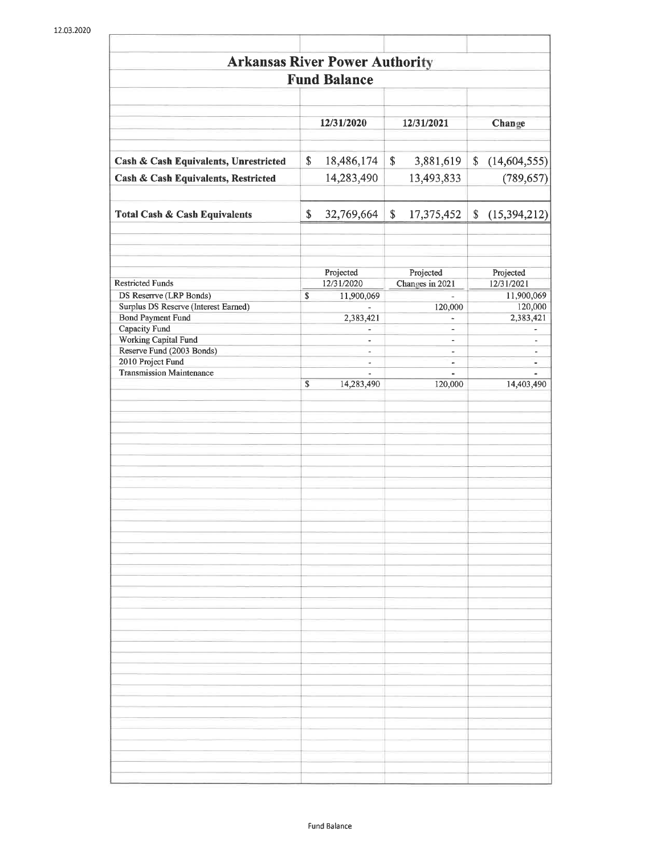| <b>Arkansas River Power Authority</b>             |                                |                                                      |                                            |
|---------------------------------------------------|--------------------------------|------------------------------------------------------|--------------------------------------------|
|                                                   | <b>Fund Balance</b>            |                                                      |                                            |
|                                                   | 12/31/2020                     | 12/31/2021                                           | Change                                     |
| Cash & Cash Equivalents, Unrestricted             | \$<br>18,486,174               | \$<br>3,881,619                                      | (14,604,555)                               |
| Cash & Cash Equivalents, Restricted               | 14,283,490                     | 13,493,833                                           | (789, 657)                                 |
| <b>Total Cash &amp; Cash Equivalents</b>          | \$<br>32,769,664               | \$<br>17,375,452                                     | \$<br>(15, 394, 212)                       |
| <b>Restricted Funds</b>                           | Projected<br>12/31/2020        | Projected<br>Changes in 2021                         | Projected<br>12/31/2021                    |
| DS Reserrve (LRP Bonds)                           | \$<br>11,900,069               |                                                      | 11,900,069                                 |
| Surplus DS Reserve (Interest Earned)              |                                | 120,000                                              | 120,000                                    |
| <b>Bond Payment Fund</b>                          | 2,383,421                      | L,                                                   | 2,383,421                                  |
| Capacity Fund                                     | ÷,                             | $\overline{\phantom{0}}$                             | ۰                                          |
| Working Capital Fund<br>Reserve Fund (2003 Bonds) | ä,<br>$\overline{\phantom{0}}$ | $\overline{\phantom{0}}$<br>$\overline{\phantom{0}}$ | $\blacksquare$<br>$\overline{\phantom{a}}$ |
| 2010 Project Fund                                 | $\overline{\phantom{a}}$       | ÷                                                    | $\overline{\phantom{a}}$                   |
| <b>Transmission Maintenance</b>                   |                                |                                                      |                                            |
|                                                   | \$<br>14,283,490               | 120,000                                              | 14,403,490                                 |
|                                                   |                                |                                                      |                                            |
|                                                   |                                |                                                      |                                            |
|                                                   |                                |                                                      |                                            |
|                                                   |                                |                                                      |                                            |
|                                                   |                                |                                                      |                                            |
|                                                   |                                |                                                      |                                            |
|                                                   |                                |                                                      |                                            |
|                                                   |                                |                                                      |                                            |